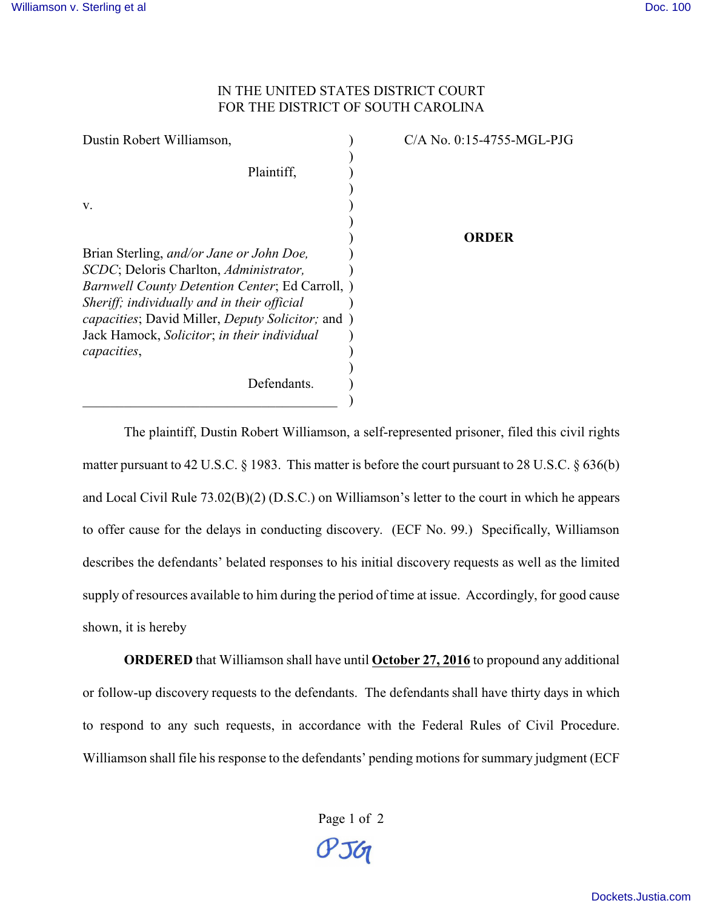## IN THE UNITED STATES DISTRICT COURT FOR THE DISTRICT OF SOUTH CAROLINA

| Dustin Robert Williamson,                                         | $C/A$ No. 0:15-4755-MGL-PJG |
|-------------------------------------------------------------------|-----------------------------|
|                                                                   |                             |
| Plaintiff,                                                        |                             |
|                                                                   |                             |
| V.                                                                |                             |
|                                                                   |                             |
|                                                                   | ORDER                       |
| Brian Sterling, and/or Jane or John Doe,                          |                             |
| SCDC; Deloris Charlton, Administrator,                            |                             |
| <i>Barnwell County Detention Center</i> ; Ed Carroll, )           |                             |
| Sheriff; individually and in their official                       |                             |
| <i>capacities</i> ; David Miller, <i>Deputy Solicitor</i> ; and ) |                             |
| Jack Hamock, Solicitor; in their individual                       |                             |
| capacities,                                                       |                             |
|                                                                   |                             |
| Defendants.                                                       |                             |
|                                                                   |                             |

The plaintiff, Dustin Robert Williamson, a self-represented prisoner, filed this civil rights matter pursuant to 42 U.S.C. § 1983. This matter is before the court pursuant to 28 U.S.C. § 636(b) and Local Civil Rule 73.02(B)(2) (D.S.C.) on Williamson's letter to the court in which he appears to offer cause for the delays in conducting discovery. (ECF No. 99.) Specifically, Williamson describes the defendants' belated responses to his initial discovery requests as well as the limited supply of resources available to him during the period of time at issue. Accordingly, for good cause shown, it is hereby

**ORDERED** that Williamson shall have until **October 27, 2016** to propound any additional or follow-up discovery requests to the defendants. The defendants shall have thirty days in which to respond to any such requests, in accordance with the Federal Rules of Civil Procedure. Williamson shall file his response to the defendants' pending motions for summary judgment (ECF

Page 1 of 2

 $O<sub>56</sub>$